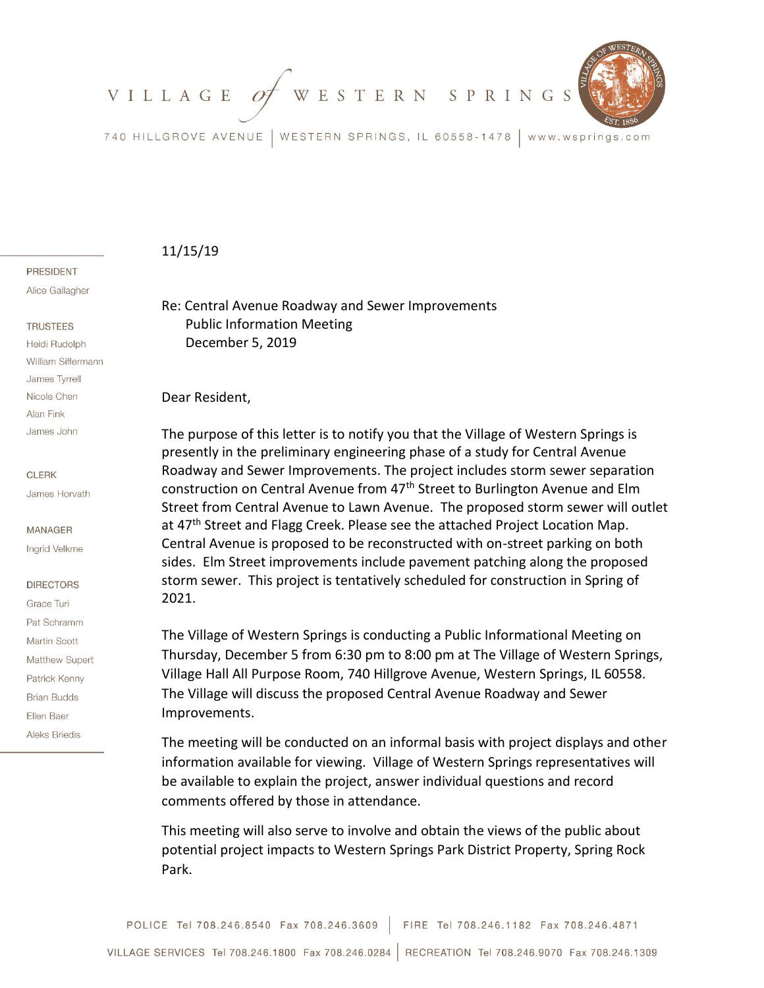WESTERN SPRINGS VILLAGE 09



740 HILLGROVE AVENUE | WESTERN SPRINGS, IL 60558-1478 | www.wsprings.com

## 11/15/19

### **PRESIDENT**

Alice Gallagher

### **TRUSTEES**

Heidi Rudolph William Siffermann James Tyrrell Nicole Chen Alan Fink James John

### **CLERK**

James Horvath

### **MANAGER**

Ingrid Velkme

## **DIRECTORS**

Grace Turi Pat Schramm Martin Scott Matthew Supert Patrick Kenny **Brian Budds** Ellen Baer **Aleks Briedis** 

Re: Central Avenue Roadway and Sewer Improvements Public Information Meeting December 5, 2019

Dear Resident,

The purpose of this letter is to notify you that the Village of Western Springs is presently in the preliminary engineering phase of a study for Central Avenue Roadway and Sewer Improvements. The project includes storm sewer separation construction on Central Avenue from 47<sup>th</sup> Street to Burlington Avenue and Elm Street from Central Avenue to Lawn Avenue. The proposed storm sewer will outlet at 47<sup>th</sup> Street and Flagg Creek. Please see the attached Project Location Map. Central Avenue is proposed to be reconstructed with on-street parking on both sides. Elm Street improvements include pavement patching along the proposed storm sewer. This project is tentatively scheduled for construction in Spring of 2021.

The Village of Western Springs is conducting a Public Informational Meeting on Thursday, December 5 from 6:30 pm to 8:00 pm at The Village of Western Springs, Village Hall All Purpose Room, 740 Hillgrove Avenue, Western Springs, IL 60558. The Village will discuss the proposed Central Avenue Roadway and Sewer Improvements.

The meeting will be conducted on an informal basis with project displays and other information available for viewing. Village of Western Springs representatives will be available to explain the project, answer individual questions and record comments offered by those in attendance.

This meeting will also serve to involve and obtain the views of the public about potential project impacts to Western Springs Park District Property, Spring Rock Park.